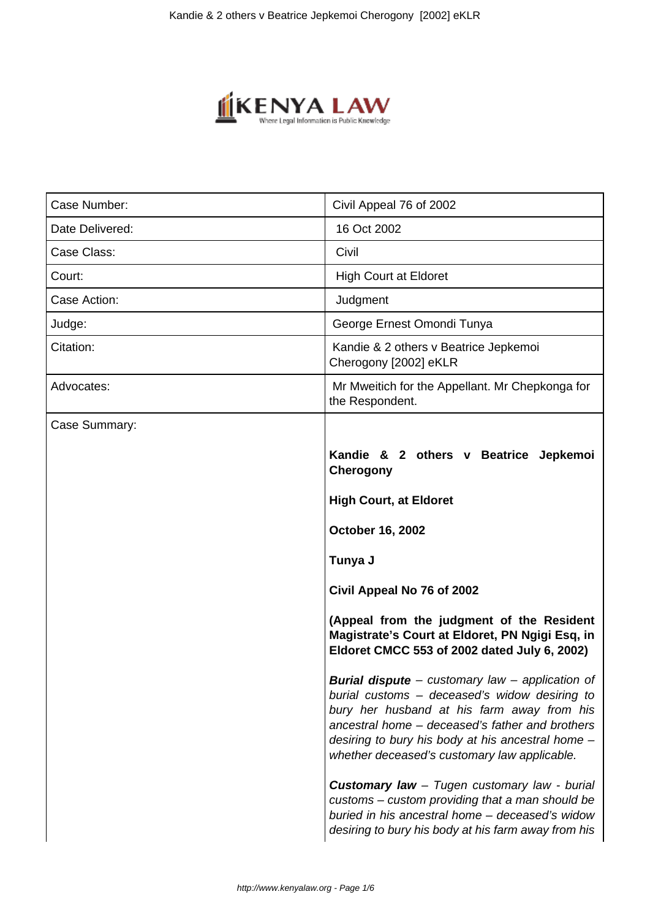

| Case Number:    | Civil Appeal 76 of 2002                                                                                                                                                                                                                                                                                       |
|-----------------|---------------------------------------------------------------------------------------------------------------------------------------------------------------------------------------------------------------------------------------------------------------------------------------------------------------|
| Date Delivered: | 16 Oct 2002                                                                                                                                                                                                                                                                                                   |
| Case Class:     | Civil                                                                                                                                                                                                                                                                                                         |
| Court:          | <b>High Court at Eldoret</b>                                                                                                                                                                                                                                                                                  |
| Case Action:    | Judgment                                                                                                                                                                                                                                                                                                      |
| Judge:          | George Ernest Omondi Tunya                                                                                                                                                                                                                                                                                    |
| Citation:       | Kandie & 2 others v Beatrice Jepkemoi<br>Cherogony [2002] eKLR                                                                                                                                                                                                                                                |
| Advocates:      | Mr Mweitich for the Appellant. Mr Chepkonga for<br>the Respondent.                                                                                                                                                                                                                                            |
| Case Summary:   |                                                                                                                                                                                                                                                                                                               |
|                 | Kandie & 2 others v Beatrice Jepkemoi<br>Cherogony                                                                                                                                                                                                                                                            |
|                 | <b>High Court, at Eldoret</b>                                                                                                                                                                                                                                                                                 |
|                 | <b>October 16, 2002</b>                                                                                                                                                                                                                                                                                       |
|                 | Tunya J                                                                                                                                                                                                                                                                                                       |
|                 | Civil Appeal No 76 of 2002                                                                                                                                                                                                                                                                                    |
|                 | (Appeal from the judgment of the Resident<br>Magistrate's Court at Eldoret, PN Ngigi Esq, in<br>Eldoret CMCC 553 of 2002 dated July 6, 2002)                                                                                                                                                                  |
|                 | <b>Burial dispute</b> – customary law – application of<br>burial customs - deceased's widow desiring to<br>bury her husband at his farm away from his<br>ancestral home - deceased's father and brothers<br>desiring to bury his body at his ancestral home -<br>whether deceased's customary law applicable. |
|                 | <b>Customary law</b> - Tugen customary law - burial<br>customs – custom providing that a man should be<br>buried in his ancestral home - deceased's widow<br>desiring to bury his body at his farm away from his                                                                                              |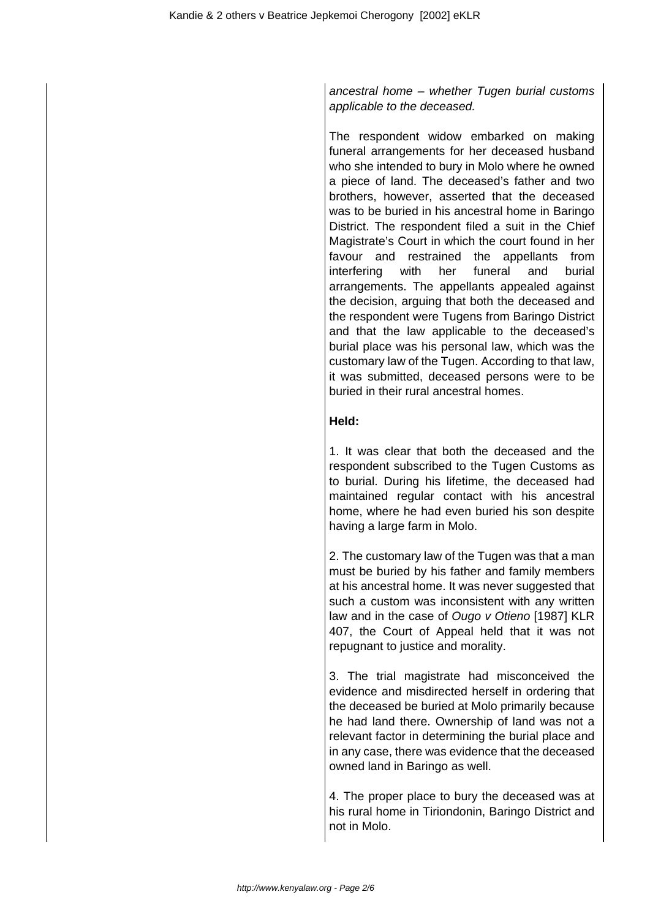ancestral home – whether Tugen burial customs applicable to the deceased.

The respondent widow embarked on making funeral arrangements for her deceased husband who she intended to bury in Molo where he owned a piece of land. The deceased's father and two brothers, however, asserted that the deceased was to be buried in his ancestral home in Baringo District. The respondent filed a suit in the Chief Magistrate's Court in which the court found in her favour and restrained the appellants from interfering with her funeral and burial arrangements. The appellants appealed against the decision, arguing that both the deceased and the respondent were Tugens from Baringo District and that the law applicable to the deceased's burial place was his personal law, which was the customary law of the Tugen. According to that law, it was submitted, deceased persons were to be buried in their rural ancestral homes.

# **Held:**

1. It was clear that both the deceased and the respondent subscribed to the Tugen Customs as to burial. During his lifetime, the deceased had maintained regular contact with his ancestral home, where he had even buried his son despite having a large farm in Molo.

2. The customary law of the Tugen was that a man must be buried by his father and family members at his ancestral home. It was never suggested that such a custom was inconsistent with any written law and in the case of Ougo v Otieno [1987] KLR 407, the Court of Appeal held that it was not repugnant to justice and morality.

3. The trial magistrate had misconceived the evidence and misdirected herself in ordering that the deceased be buried at Molo primarily because he had land there. Ownership of land was not a relevant factor in determining the burial place and in any case, there was evidence that the deceased owned land in Baringo as well.

4. The proper place to bury the deceased was at his rural home in Tiriondonin, Baringo District and not in Molo.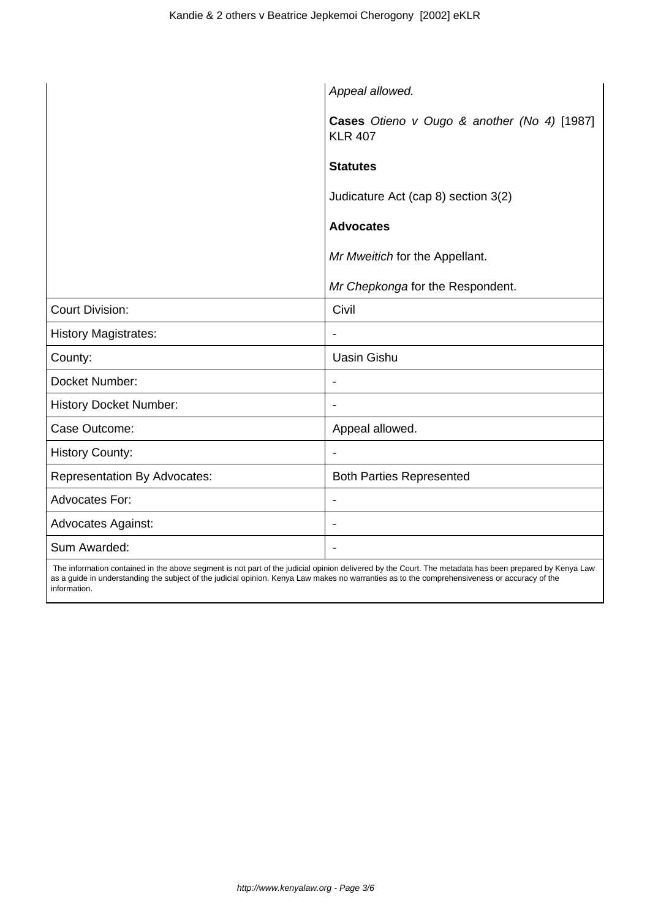|                                     | Appeal allowed.                                               |
|-------------------------------------|---------------------------------------------------------------|
|                                     | Cases Otieno v Ougo & another (No 4) [1987]<br><b>KLR 407</b> |
|                                     | <b>Statutes</b>                                               |
|                                     | Judicature Act (cap 8) section 3(2)                           |
|                                     | <b>Advocates</b>                                              |
|                                     | Mr Mweitich for the Appellant.                                |
|                                     | Mr Chepkonga for the Respondent.                              |
| <b>Court Division:</b>              | Civil                                                         |
| <b>History Magistrates:</b>         |                                                               |
| County:                             | <b>Uasin Gishu</b>                                            |
| Docket Number:                      | $\overline{\phantom{0}}$                                      |
| <b>History Docket Number:</b>       | $\blacksquare$                                                |
| Case Outcome:                       | Appeal allowed.                                               |
| <b>History County:</b>              |                                                               |
| <b>Representation By Advocates:</b> | <b>Both Parties Represented</b>                               |
| <b>Advocates For:</b>               |                                                               |
| <b>Advocates Against:</b>           | $\qquad \qquad \blacksquare$                                  |
| Sum Awarded:                        | $\blacksquare$                                                |

 The information contained in the above segment is not part of the judicial opinion delivered by the Court. The metadata has been prepared by Kenya Law as a guide in understanding the subject of the judicial opinion. Kenya Law makes no warranties as to the comprehensiveness or accuracy of the information.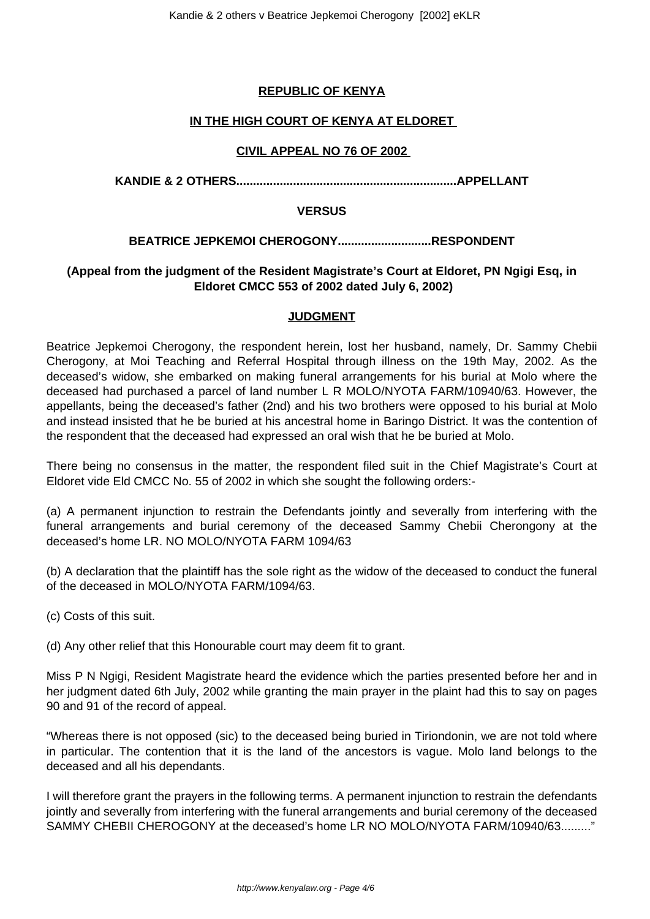# **REPUBLIC OF KENYA**

## **IN THE HIGH COURT OF KENYA AT ELDORET**

### **CIVIL APPEAL NO 76 OF 2002**

**KANDIE & 2 OTHERS..................................................................APPELLANT**

#### **VERSUS**

### **BEATRICE JEPKEMOI CHEROGONY............................RESPONDENT**

# **(Appeal from the judgment of the Resident Magistrate's Court at Eldoret, PN Ngigi Esq, in Eldoret CMCC 553 of 2002 dated July 6, 2002)**

### **JUDGMENT**

Beatrice Jepkemoi Cherogony, the respondent herein, lost her husband, namely, Dr. Sammy Chebii Cherogony, at Moi Teaching and Referral Hospital through illness on the 19th May, 2002. As the deceased's widow, she embarked on making funeral arrangements for his burial at Molo where the deceased had purchased a parcel of land number L R MOLO/NYOTA FARM/10940/63. However, the appellants, being the deceased's father (2nd) and his two brothers were opposed to his burial at Molo and instead insisted that he be buried at his ancestral home in Baringo District. It was the contention of the respondent that the deceased had expressed an oral wish that he be buried at Molo.

There being no consensus in the matter, the respondent filed suit in the Chief Magistrate's Court at Eldoret vide Eld CMCC No. 55 of 2002 in which she sought the following orders:-

(a) A permanent injunction to restrain the Defendants jointly and severally from interfering with the funeral arrangements and burial ceremony of the deceased Sammy Chebii Cherongony at the deceased's home LR. NO MOLO/NYOTA FARM 1094/63

(b) A declaration that the plaintiff has the sole right as the widow of the deceased to conduct the funeral of the deceased in MOLO/NYOTA FARM/1094/63.

(c) Costs of this suit.

(d) Any other relief that this Honourable court may deem fit to grant.

Miss P N Ngigi, Resident Magistrate heard the evidence which the parties presented before her and in her judgment dated 6th July, 2002 while granting the main prayer in the plaint had this to say on pages 90 and 91 of the record of appeal.

"Whereas there is not opposed (sic) to the deceased being buried in Tiriondonin, we are not told where in particular. The contention that it is the land of the ancestors is vague. Molo land belongs to the deceased and all his dependants.

I will therefore grant the prayers in the following terms. A permanent injunction to restrain the defendants jointly and severally from interfering with the funeral arrangements and burial ceremony of the deceased SAMMY CHEBII CHEROGONY at the deceased's home LR NO MOLO/NYOTA FARM/10940/63........."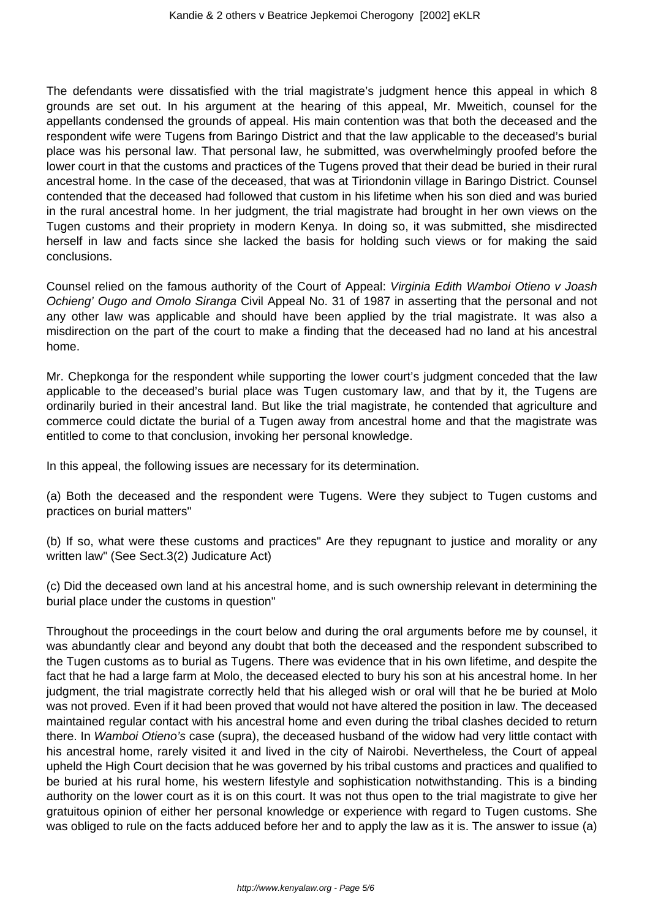The defendants were dissatisfied with the trial magistrate's judgment hence this appeal in which 8 grounds are set out. In his argument at the hearing of this appeal, Mr. Mweitich, counsel for the appellants condensed the grounds of appeal. His main contention was that both the deceased and the respondent wife were Tugens from Baringo District and that the law applicable to the deceased's burial place was his personal law. That personal law, he submitted, was overwhelmingly proofed before the lower court in that the customs and practices of the Tugens proved that their dead be buried in their rural ancestral home. In the case of the deceased, that was at Tiriondonin village in Baringo District. Counsel contended that the deceased had followed that custom in his lifetime when his son died and was buried in the rural ancestral home. In her judgment, the trial magistrate had brought in her own views on the Tugen customs and their propriety in modern Kenya. In doing so, it was submitted, she misdirected herself in law and facts since she lacked the basis for holding such views or for making the said conclusions.

Counsel relied on the famous authority of the Court of Appeal: Virginia Edith Wamboi Otieno v Joash Ochieng' Ougo and Omolo Siranga Civil Appeal No. 31 of 1987 in asserting that the personal and not any other law was applicable and should have been applied by the trial magistrate. It was also a misdirection on the part of the court to make a finding that the deceased had no land at his ancestral home.

Mr. Chepkonga for the respondent while supporting the lower court's judgment conceded that the law applicable to the deceased's burial place was Tugen customary law, and that by it, the Tugens are ordinarily buried in their ancestral land. But like the trial magistrate, he contended that agriculture and commerce could dictate the burial of a Tugen away from ancestral home and that the magistrate was entitled to come to that conclusion, invoking her personal knowledge.

In this appeal, the following issues are necessary for its determination.

(a) Both the deceased and the respondent were Tugens. Were they subject to Tugen customs and practices on burial matters"

(b) If so, what were these customs and practices" Are they repugnant to justice and morality or any written law" (See Sect.3(2) Judicature Act)

(c) Did the deceased own land at his ancestral home, and is such ownership relevant in determining the burial place under the customs in question"

Throughout the proceedings in the court below and during the oral arguments before me by counsel, it was abundantly clear and beyond any doubt that both the deceased and the respondent subscribed to the Tugen customs as to burial as Tugens. There was evidence that in his own lifetime, and despite the fact that he had a large farm at Molo, the deceased elected to bury his son at his ancestral home. In her judgment, the trial magistrate correctly held that his alleged wish or oral will that he be buried at Molo was not proved. Even if it had been proved that would not have altered the position in law. The deceased maintained regular contact with his ancestral home and even during the tribal clashes decided to return there. In Wamboi Otieno's case (supra), the deceased husband of the widow had very little contact with his ancestral home, rarely visited it and lived in the city of Nairobi. Nevertheless, the Court of appeal upheld the High Court decision that he was governed by his tribal customs and practices and qualified to be buried at his rural home, his western lifestyle and sophistication notwithstanding. This is a binding authority on the lower court as it is on this court. It was not thus open to the trial magistrate to give her gratuitous opinion of either her personal knowledge or experience with regard to Tugen customs. She was obliged to rule on the facts adduced before her and to apply the law as it is. The answer to issue (a)